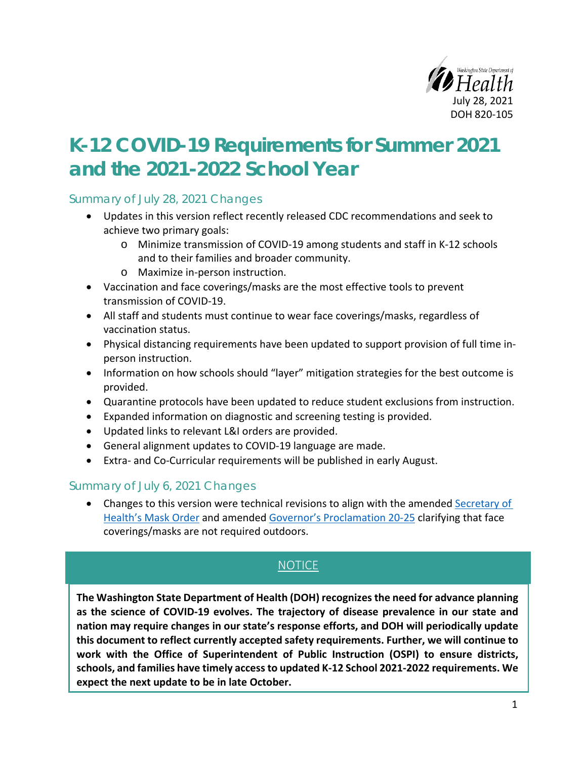

# **K-12 COVID-19 Requirements for Summer 2021 and the 2021-2022 School Year**

Summary of July 28, 2021 Changes

- Updates in this version reflect recently released CDC recommendations and seek to achieve two primary goals:
	- o Minimize transmission of COVID-19 among students and staff in K-12 schools and to their families and broader community.
	- o Maximize in-person instruction.
- Vaccination and face coverings/masks are the most effective tools to prevent transmission of COVID-19.
- All staff and students must continue to wear face coverings/masks, regardless of vaccination status.
- Physical distancing requirements have been updated to support provision of full time inperson instruction.
- Information on how schools should "layer" mitigation strategies for the best outcome is provided.
- Quarantine protocols have been updated to reduce student exclusions from instruction.
- Expanded information on diagnostic and screening testing is provided.
- Updated links to relevant L&I orders are provided.
- General alignment updates to COVID-19 language are made.
- Extra- and Co-Curricular requirements will be published in early August.

#### Summary of July 6, 2021 Changes

• Changes to this version were technical revisions to align with the amended [Secretary of](https://www.doh.wa.gov/Portals/1/Documents/1600/coronavirus/Secretary_of_Health_Order_20-03_Statewide_Face_Coverings.pdf)  [Health's Mask Order](https://www.doh.wa.gov/Portals/1/Documents/1600/coronavirus/Secretary_of_Health_Order_20-03_Statewide_Face_Coverings.pdf) and amended [Governor's Proclamation 20-25](https://www.governor.wa.gov/sites/default/files/proclamations/proc_20-25.14.pdf) clarifying that face coverings/masks are not required outdoors.

# NOTICE

**The Washington State Department of Health (DOH) recognizes the need for advance planning as the science of COVID-19 evolves. The trajectory of disease prevalence in our state and nation may require changes in our state's response efforts, and DOH will periodically update this document to reflect currently accepted safety requirements. Further, we will continue to work with the Office of Superintendent of Public Instruction (OSPI) to ensure districts, schools, and families have timely access to updated K-12 School 2021-2022 requirements. We expect the next update to be in late October.**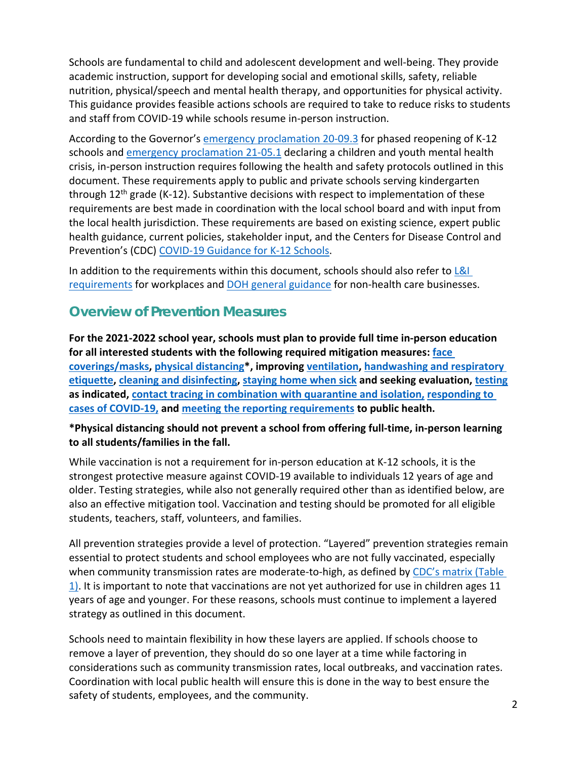Schools are fundamental to child and adolescent development and well-being. They provide academic instruction, support for developing social and emotional skills, safety, reliable nutrition, physical/speech and mental health therapy, and opportunities for physical activity. This guidance provides feasible actions schools are required to take to reduce risks to students and staff from COVID-19 while schools resume in-person instruction.

According to the Governor's [emergency proclamation 20-09.3](https://www.governor.wa.gov/sites/default/files/proclamations/proc_20-09.3.pdf) for phased reopening of K-12 schools and [emergency proclamation 21-05.1](https://www.governor.wa.gov/sites/default/files/proclamations/proc_21-05.1.pdf) declaring a children and youth mental health crisis, in-person instruction requires following the health and safety protocols outlined in this document. These requirements apply to public and private schools serving kindergarten through  $12<sup>th</sup>$  grade (K-12). Substantive decisions with respect to implementation of these requirements are best made in coordination with the local school board and with input from the local health jurisdiction. These requirements are based on existing science, expert public health guidance, current policies, stakeholder input, and the Centers for Disease Control and Prevention's (CDC) [COVID-19 Guidance for K-12 Schools.](https://www.cdc.gov/coronavirus/2019-ncov/community/schools-childcare/k-12-guidance.html)

In addition to the requirements within this document, schools should also refer to  $L&I$ [requirements](https://www.lni.wa.gov/forms-publications/F414-164-000.pdf) for workplaces an[d DOH general guidance](https://www.doh.wa.gov/Portals/1/Documents/1600/coronavirus/420-350-NonHealthCareBusiness.pdf) for non-health care businesses.

# <span id="page-1-0"></span>**Overview of Prevention Measures**

**For the 2021-2022 school year, schools must plan to provide full time in-person education for all interested students with the following required mitigation measures: [face](#page-2-0)  [coverings/masks,](#page-2-0) [physical distancing\\*](#page-4-0), improving [ventilation,](#page-4-1) [handwashing and respiratory](#page-5-0)  [etiquette,](#page-5-0) [cleaning and disinfecting,](#page-11-0) [staying home when sick](#page-6-0) and seeking evaluation, [testing](#page-4-1) as indicated, contact tracing in combination with [quarantine and isolation,](#page-8-0) [responding to](#page-8-1)  [cases of COVID-19,](#page-8-1) and meeting the reporting requirements to public health.** 

#### **\*Physical distancing should not prevent a school from offering full-time, in-person learning to all students/families in the fall.**

While vaccination is not a requirement for in-person education at K-12 schools, it is the strongest protective measure against COVID-19 available to individuals 12 years of age and older. Testing strategies, while also not generally required other than as identified below, are also an effective mitigation tool. Vaccination and testing should be promoted for all eligible students, teachers, staff, volunteers, and families.

All prevention strategies provide a level of protection. "Layered" prevention strategies remain essential to protect students and school employees who are not fully vaccinated, especially when community transmission rates are moderate-to-high, as defined by CDC's matrix (Table [1\).](https://www.cdc.gov/coronavirus/2019-ncov/community/schools-childcare/k-12-guidance.html) It is important to note that vaccinations are not yet authorized for use in children ages 11 years of age and younger. For these reasons, schools must continue to implement a layered strategy as outlined in this document.

Schools need to maintain flexibility in how these layers are applied. If schools choose to remove a layer of prevention, they should do so one layer at a time while factoring in considerations such as community transmission rates, local outbreaks, and vaccination rates. Coordination with local public health will ensure this is done in the way to best ensure the safety of students, employees, and the community.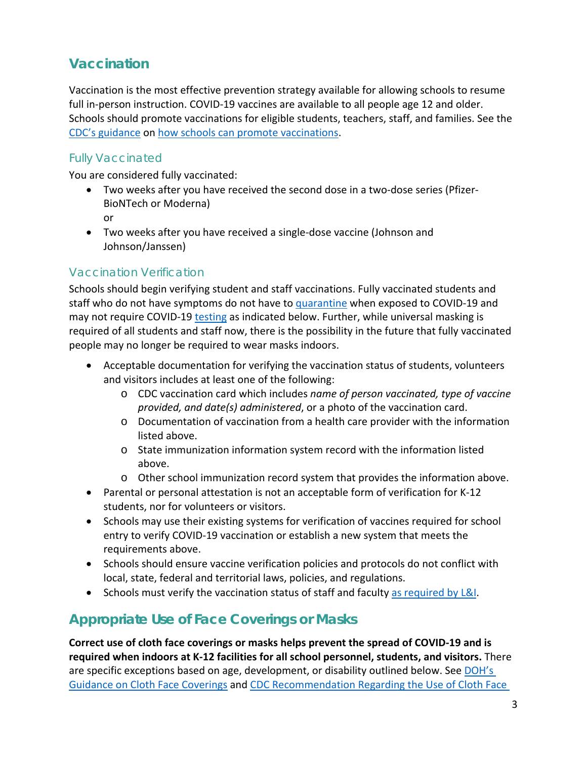# <span id="page-2-0"></span>**Vaccination**

Vaccination is the most effective prevention strategy available for allowing schools to resume full in-person instruction. COVID-19 vaccines are available to all people age 12 and older. Schools should promote vaccinations for eligible students, teachers, staff, and families. See the [CDC's guidance](https://www.cdc.gov/coronavirus/2019-ncov/community/schools-childcare/k-12-guidance.html) o[n how schools can promote vaccinations.](https://www.cdc.gov/coronavirus/2019-ncov/community/schools-childcare/k-12-guidance.html#vaccination)

### Fully Vaccinated

You are considered fully vaccinated:

- Two weeks after you have received the second dose in a two-dose series (Pfizer-BioNTech or Moderna) or
- Two weeks after you have received a single-dose vaccine (Johnson and Johnson/Janssen)

### Vaccination Verification

Schools should begin verifying student and staff vaccinations. Fully vaccinated students and staff who do not have symptoms do not have to [quarantine](#page-9-0) when exposed to COVID-19 and may not require COVID-19 [testing](#page-7-0) as indicated below. Further, while universal masking is required of all students and staff now, there is the possibility in the future that fully vaccinated people may no longer be required to wear masks indoors.

- Acceptable documentation for verifying the vaccination status of students, volunteers and visitors includes at least one of the following:
	- o CDC vaccination card which includes *name of person vaccinated, type of vaccine provided, and date(s) administered*, or a photo of the vaccination card.
	- $\circ$  Documentation of vaccination from a health care provider with the information listed above.
	- o State immunization information system record with the information listed above.
	- o Other school immunization record system that provides the information above.
- Parental or personal attestation is not an acceptable form of verification for K-12 students, nor for volunteers or visitors.
- Schools may use their existing systems for verification of vaccines required for school entry to verify COVID-19 vaccination or establish a new system that meets the requirements above.
- Schools should ensure vaccine verification policies and protocols do not conflict with local, state, federal and territorial laws, policies, and regulations.
- Schools must verify the vaccination status of staff and faculty [as required by L&I.](https://www.lni.wa.gov/forms-publications/F414-164-000.pdf)

# **Appropriate Use of Face Coverings or Masks**

**Correct use of cloth face coverings or masks helps prevent the spread of COVID-19 and is required when indoors at K-12 facilities for all school personnel, students, and visitors.** There are specific exceptions based on age, development, or disability outlined below. See [DOH's](https://www.doh.wa.gov/Portals/1/Documents/1600/coronavirus/ClothFacemasks.pdf) [Guidance on Cloth Face Coverings](https://www.doh.wa.gov/Portals/1/Documents/1600/coronavirus/ClothFacemasks.pdf) and CDC Recommendation [Regarding the Use of Cloth Face](https://www.cdc.gov/coronavirus/2019-ncov/prevent-getting-sick/cloth-face-cover.html)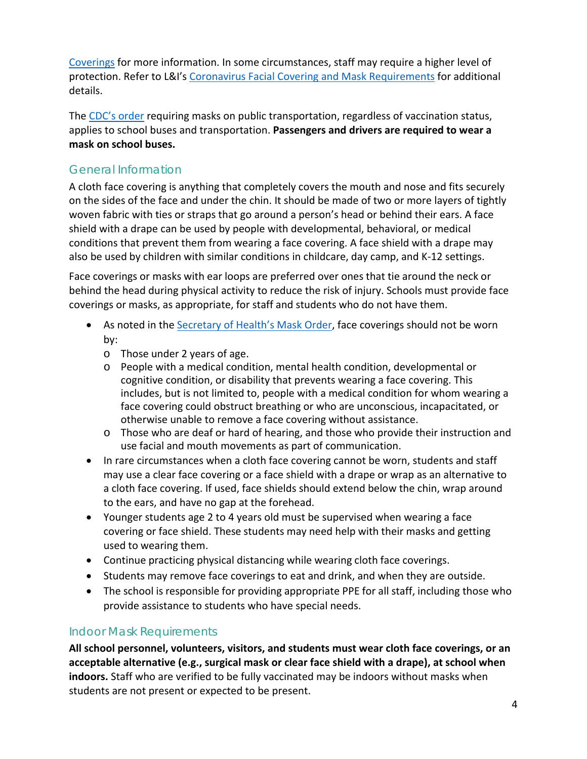[Coverings](https://www.cdc.gov/coronavirus/2019-ncov/prevent-getting-sick/cloth-face-cover.html) for more information. In some circumstances, staff may require a higher level of protection. Refer to L&I's [Coronavirus Facial Covering and Mask Requirements](https://www.lni.wa.gov/agency/_docs/wacoronavirushazardconsiderationsemployers.pdf) for additional details.

The [CDC's order](https://www.cdc.gov/quarantine/masks/mask-travel-guidance.html) requiring masks on public transportation, regardless of vaccination status, applies to school buses and transportation. **Passengers and drivers are required to wear a mask on school buses.**

### General Information

A cloth face covering is anything that completely covers the mouth and nose and fits securely on the sides of the face and under the chin. It should be made of two or more layers of tightly woven fabric with ties or straps that go around a person's head or behind their ears. A face shield with a drape can be used by people with developmental, behavioral, or medical conditions that prevent them from wearing a face covering. A face shield with a drape may also be used by children with similar conditions in childcare, day camp, and K-12 settings.

Face coverings or masks with ear loops are preferred over ones that tie around the neck or behind the head during physical activity to reduce the risk of injury. Schools must provide face coverings or masks, as appropriate, for staff and students who do not have them.

- As noted in the [Secretary of Health's Mask Order,](https://www.doh.wa.gov/Portals/1/Documents/1600/coronavirus/Secretary_of_Health_Order_20-03_Statewide_Face_Coverings.pdf) face coverings should not be worn by:
	- o Those under 2 years of age.
	- o People with a medical condition, mental health condition, developmental or cognitive condition, or disability that prevents wearing a face covering. This includes, but is not limited to, people with a medical condition for whom wearing a face covering could obstruct breathing or who are unconscious, incapacitated, or otherwise unable to remove a face covering without assistance.
	- o Those who are deaf or hard of hearing, and those who provide their instruction and use facial and mouth movements as part of communication.
- In rare circumstances when a cloth face covering cannot be worn, students and staff may use a clear face covering or a face shield with a drape or wrap as an alternative to a cloth face covering. If used, face shields should extend below the chin, wrap around to the ears, and have no gap at the forehead.
- Younger students age 2 to 4 years old must be supervised when wearing a face covering or face shield. These students may need help with their masks and getting used to wearing them.
- Continue practicing physical distancing while wearing cloth face coverings.
- Students may remove face coverings to eat and drink, and when they are outside.
- The school is responsible for providing appropriate PPE for all staff, including those who provide assistance to students who have special needs.

#### Indoor Mask Requirements

**All school personnel, volunteers, visitors, and students must wear cloth face coverings, or an acceptable alternative (e.g., surgical mask or clear face shield with a drape), at school when indoors.** Staff who are verified to be fully vaccinated may be indoors without masks when students are not present or expected to be present.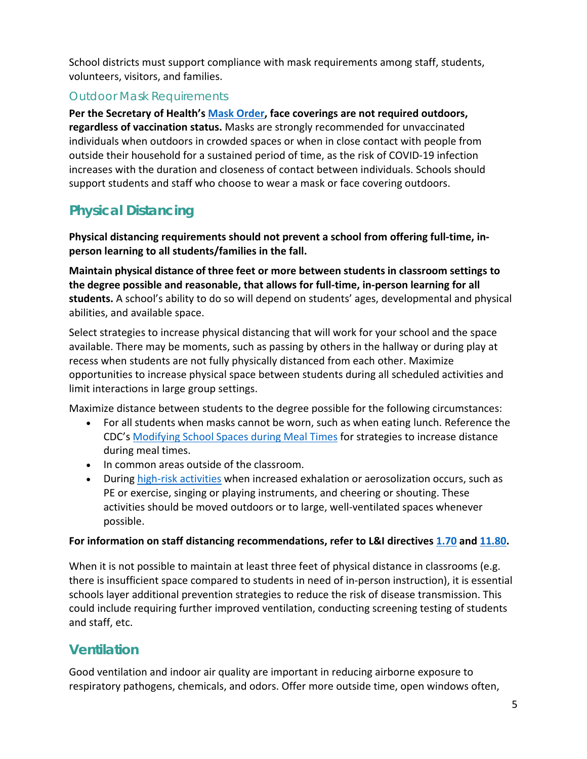School districts must support compliance with mask requirements among staff, students, volunteers, visitors, and families.

#### Outdoor Mask Requirements

**Per the Secretary of Health's [Mask Order,](https://www.doh.wa.gov/Portals/1/Documents/1600/coronavirus/Secretary_of_Health_Order_20-03_Statewide_Face_Coverings.pdf) face coverings are not required outdoors, regardless of vaccination status.** Masks are strongly recommended for unvaccinated individuals when outdoors in crowded spaces or when in close contact with people from outside their household for a sustained period of time, as the risk of COVID-19 infection increases with the duration and closeness of contact between individuals. Schools should support students and staff who choose to wear a mask or face covering outdoors.

# <span id="page-4-0"></span>**Physical Distancing**

**Physical distancing requirements should not prevent a school from offering full-time, inperson learning to all students/families in the fall.**

**Maintain physical distance of three feet or more between students in classroom settings to the degree possible and reasonable, that allows for full-time, in-person learning for all students.** A school's ability to do so will depend on students' ages, developmental and physical abilities, and available space.

Select strategies to increase physical distancing that will work for your school and the space available. There may be moments, such as passing by others in the hallway or during play at recess when students are not fully physically distanced from each other. Maximize opportunities to increase physical space between students during all scheduled activities and limit interactions in large group settings.

Maximize distance between students to the degree possible for the following circumstances:

- For all students when masks cannot be worn, such as when eating lunch. Reference the CDC's [Modifying School Spaces during Meal Times f](https://www.cdc.gov/coronavirus/2019-ncov/downloads/community/schools-childcare/COVID_SchoolMealtimeSpaces_508.pdf)or strategies to increase distance during meal times.
- In common areas outside of the classroom.
- During [high-risk activities](#page-11-0) when increased exhalation or aerosolization occurs, such as PE or exercise, singing or playing instruments, and cheering or shouting. These activities should be moved outdoors or to large, well-ventilated spaces whenever possible.

#### **For information on staff distancing recommendations, refer to L&I directives [1.70](https://lni.wa.gov/dA/36e85758be/DD170.pdf) and [11.80.](https://www.lni.wa.gov/safety-health/safety-rules/enforcement-policies/DD1180.PDF)**

When it is not possible to maintain at least three feet of physical distance in classrooms (e.g. there is insufficient space compared to students in need of in-person instruction), it is essential schools layer additional prevention strategies to reduce the risk of disease transmission. This could include requiring further improved ventilation, conducting screening testing of students and staff, etc.

# <span id="page-4-1"></span>**Ventilation**

Good ventilation and indoor air quality are important in reducing airborne exposure to respiratory pathogens, chemicals, and odors. Offer more outside time, open windows often,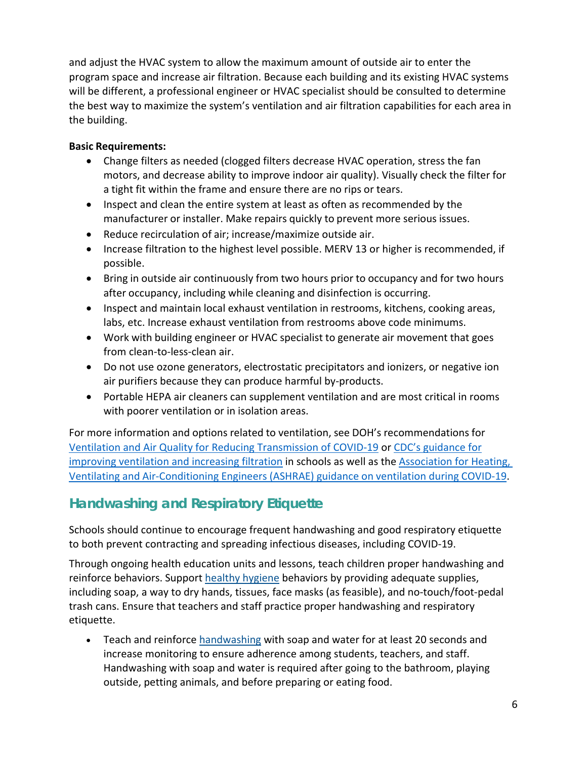and adjust the HVAC system to allow the maximum amount of outside air to enter the program space and increase air filtration. Because each building and its existing HVAC systems will be different, a professional engineer or HVAC specialist should be consulted to determine the best way to maximize the system's ventilation and air filtration capabilities for each area in the building.

#### **Basic Requirements:**

- Change filters as needed (clogged filters decrease HVAC operation, stress the fan motors, and decrease ability to improve indoor air quality). Visually check the filter for a tight fit within the frame and ensure there are no rips or tears.
- Inspect and clean the entire system at least as often as recommended by the manufacturer or installer. Make repairs quickly to prevent more serious issues.
- Reduce recirculation of air; increase/maximize outside air.
- Increase filtration to the highest level possible. MERV 13 or higher is recommended, if possible.
- Bring in outside air continuously from two hours prior to occupancy and for two hours after occupancy, including while cleaning and disinfection is occurring.
- Inspect and maintain local exhaust ventilation in restrooms, kitchens, cooking areas, labs, etc. Increase exhaust ventilation from restrooms above code minimums.
- Work with building engineer or HVAC specialist to generate air movement that goes from clean-to-less-clean air.
- Do not use ozone generators, electrostatic precipitators and ionizers, or negative ion air purifiers because they can produce harmful by-products.
- Portable HEPA air cleaners can supplement ventilation and are most critical in rooms with poorer ventilation or in isolation areas.

For more information and options related to ventilation, see DOH's recommendations for [Ventilation and Air Quality for Reducing Transmission of COVID-19](https://www.doh.wa.gov/Portals/1/Documents/1600/coronavirus/VentilationGuidance.pdf) or [CDC's guidance for](https://www.cdc.gov/coronavirus/2019-ncov/community/schools-childcare/schools.html) [improving ventilation and increasing filtration](https://www.cdc.gov/coronavirus/2019-ncov/community/schools-childcare/schools.html) in schools as well as the [Association for Heating,](https://www.ashrae.org/technical-resources/resources)  [Ventilating and Air-Conditioning Engineers](https://www.ashrae.org/technical-resources/resources) (ASHRAE) guidance on ventilation during COVID-19.

# <span id="page-5-0"></span>**Handwashing and Respiratory Etiquette**

Schools should continue to encourage frequent handwashing and good respiratory etiquette to both prevent contracting and spreading infectious diseases, including COVID-19.

Through ongoing health education units and lessons, teach children proper handwashing and reinforce behaviors. Support [healthy hygiene](https://www.cdc.gov/handwashing/when-how-handwashing.html) behaviors by providing adequate supplies, including soap, a way to dry hands, tissues, face masks (as feasible), and no-touch/foot- pedal trash cans. Ensure that teachers and staff practice proper handwashing and respiratory etiquette.

• Teach and reinforce [handwashing w](https://www.cdc.gov/handwashing/when-how-handwashing.html)ith soap and water for at least 20 seconds and increase monitoring to ensure adherence among students, teachers, and staff. Handwashing with soap and water is required after going to the bathroom, playing outside, petting animals, and before preparing or eating food.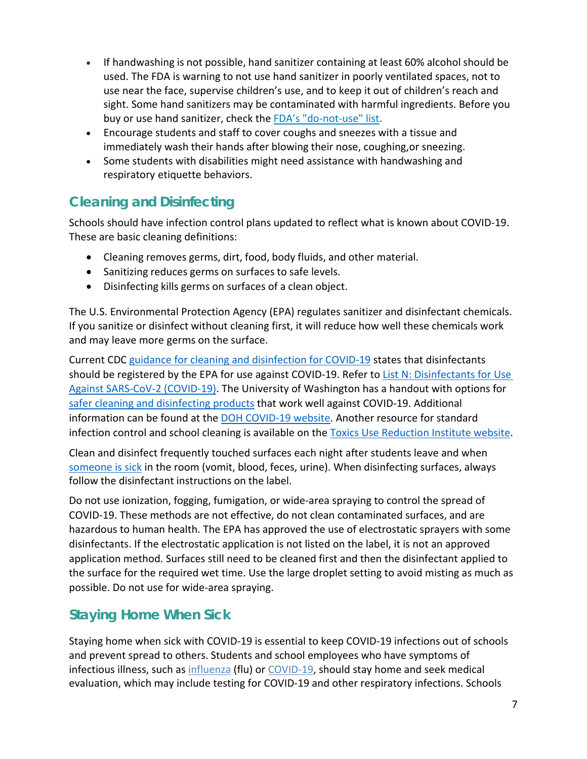- If handwashing is not possible, hand sanitizer containing at least 60% alcohol should be used. The FDA is warning to not use hand sanitizer in poorly ventilated spaces, not to use near the face, supervise children's use, and to keep it out of children's reach and sight. Some hand sanitizers may be contaminated with harmful ingredients. Before you buy or use hand sanitizer, check the [FDA's "do-not-use" list.](https://www.fda.gov/drugs/drug-safety-and-availability/fda-updates-hand-sanitizers-consumers-should-not-use#products)
- Encourage students and staff to cover coughs and sneezes with a tissue and immediately wash their hands after blowing their nose, coughing,or sneezing.
- Some students with disabilities might need assistance with handwashing and respiratory etiquette behaviors.

# <span id="page-6-0"></span>**Cleaning and Disinfecting**

Schools should have infection control plans updated to reflect what is known about COVID-19. These are basic cleaning definitions:

- Cleaning removes germs, dirt, food, body fluids, and other material.
- Sanitizing reduces germs on surfaces to safe levels.
- Disinfecting kills germs on surfaces of a clean object.

The U.S. Environmental Protection Agency (EPA) regulates sanitizer and disinfectant chemicals. If you sanitize or disinfect without cleaning first, it will reduce how well these chemicals work and may leave more germs on the surface.

Current CDC [guidance for cleaning and disinfection for COVID-19](https://www.cdc.gov/coronavirus/2019-ncov/prepare/disinfecting-building-facility.html) states that disinfectants should be registered by the EPA for use against COVID-19. Refer to List N: Disinfectants for Use [Against SARS-CoV-2 \(COVID-19\).](https://www.epa.gov/pesticide-registration/list-n-disinfectants-use-against-sars-cov-2-covid-19) The University of Washington has a handout with options for [safer cleaning and disinfecting products](https://osha.washington.edu/sites/default/files/documents/FactSheet_Cleaning_Final_UWDEOHS_0.pdf) that work well against COVID-19. Additional information can be found at the [DOH COVID-19 website.](https://www.doh.wa.gov/Portals/1/Documents/1600/coronavirus/CleaningandDisinfectingGuidanceforPublicSpaces.pdf) Another resource for standard infection control and school cleaning is available on the [Toxics Use Reduction Institute website.](https://www.turi.org/Our_Work/Cleaning_Laboratory/COVID-19_Safely_Clean_Disinfect/Safer_Cleaning_and_Disinfection_for_Schools)

Clean and disinfect frequently touched surfaces each night after students leave and when someone is sick in the room (vomit, blood, feces, urine). When disinfecting surfaces, always follow the disinfectant instructions on the label.

Do not use ionization, fogging, fumigation, or wide-area spraying to control the spread of COVID-19. These methods are not effective, do not clean contaminated surfaces, and are hazardous to human health. The EPA has approved the use of electrostatic sprayers with some disinfectants. If the electrostatic application is not listed on the label, it is not an approved application method. Surfaces still need to be cleaned first and then the disinfectant applied to the surface for the required wet time. Use the large droplet setting to avoid misting as much as possible. Do not use for wide-area spraying.

# **Staying Home When Sick**

Staying home when sick with COVID-19 is essential to keep COVID-19 infections out of schools and prevent spread to others. Students and school employees who have symptoms of infectious illness, such as [influenza](https://www.cdc.gov/flu/symptoms/flu-vs-covid19.htm) (flu) o[r COVID-19,](https://www.cdc.gov/coronavirus/2019-ncov/symptoms-testing/symptoms.html) should stay home and seek medical evaluation, which may include testing for COVID-19 and other respiratory infections. Schools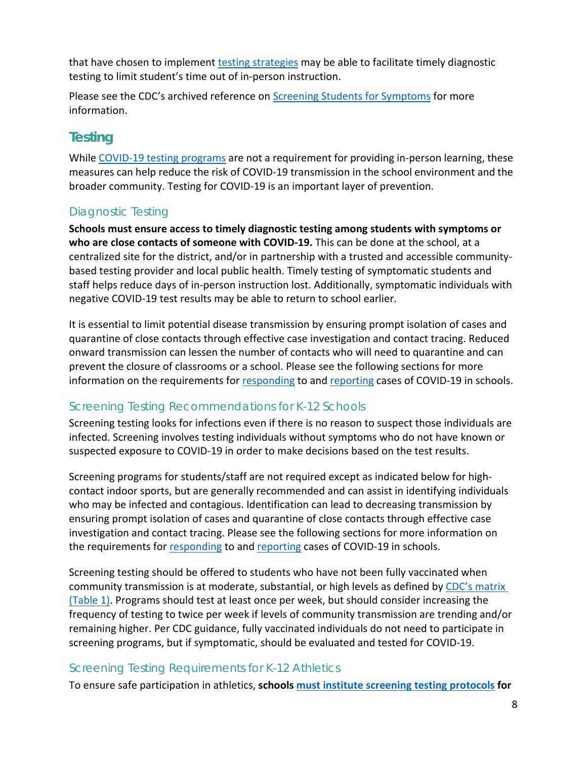that have chosen to implement [testing strategies](#page-7-0) may be able to facilitate timely diagnostic testing to limit student's time out of in-person instruction.

Please see the CDC's archived reference on [Screening Students for Symptoms](https://www.cdc.gov/coronavirus/2019-ncov/community/schools-childcare/symptom-screening.html) for more information.

# <span id="page-7-0"></span>**Testing**

While [COVID-19 testing programs](https://www.doh.wa.gov/Portals/1/Documents/1600/coronavirus/820-113-K12SchoolTesting.pdf) are not a requirement for providing in-person learning, these measures can help reduce the risk of COVID-19 transmission in the school environment and the broader community. Testing for COVID-19 is an important layer of prevention.

### Diagnostic Testing

**Schools must ensure access to timely diagnostic testing among students with symptoms or who are close contacts of someone with COVID-19.** This can be done at the school, at a centralized site for the district, and/or in partnership with a trusted and accessible communitybased testing provider and local public health. Timely testing of symptomatic students and staff helps reduce days of in-person instruction lost. Additionally, symptomatic individuals with negative COVID-19 test results may be able to return to school earlier.

It is essential to limit potential disease transmission by ensuring prompt isolation of cases and quarantine of close contacts through effective case investigation and contact tracing. Reduced onward transmission can lessen the number of contacts who will need to quarantine and can prevent the closure of classrooms or a school. Please see the following sections for more information on the requirements for [responding](#page-8-1) to and [reporting](#page-10-0) cases of COVID-19 in schools.

### Screening Testing Recommendations for K-12 Schools

Screening testing looks for infections even if there is no reason to suspect those individuals are infected. Screening involves testing individuals without symptoms who do not have known or suspected exposure to COVID-19 in order to make decisions based on the test results.

Screening programs for students/staff are not required except as indicated below for highcontact indoor sports, but are generally recommended and can assist in identifying individuals who may be infected and contagious. Identification can lead to decreasing transmission by ensuring prompt isolation of cases and quarantine of close contacts through effective case investigation and contact tracing. Please see the following sections for more information on the requirements for [responding](#page-8-1) to and [reporting](#page-10-0) cases of COVID-19 in schools.

Screening testing should be offered to students who have not been fully vaccinated when community transmission is at moderate, substantial, or high levels as defined by [CDC's matrix](https://www.cdc.gov/coronavirus/2019-ncov/community/schools-childcare/k-12-guidance.html)  [\(Table 1\).](https://www.cdc.gov/coronavirus/2019-ncov/community/schools-childcare/k-12-guidance.html) Programs should test at least once per week, but should consider increasing the frequency of testing to twice per week if levels of community transmission are trending and/or remaining higher. Per CDC guidance, fully vaccinated individuals do not need to participate in screening programs, but if symptomatic, should be evaluated and tested for COVID-19.

### Screening Testing Requirements for K-12 Athletics

To ensure safe participation in athletics, **schools [must institute screening testing](#page-11-1) protocols for**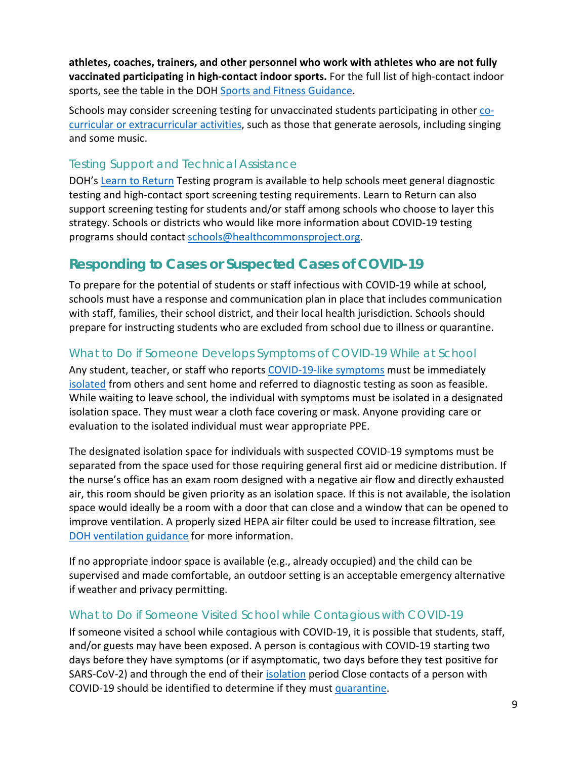**athletes, coaches, trainers, and other personnel who work with athletes who are not fully vaccinated participating in high-contact indoor sports.** For the full list of high-contact indoor sports, see the table in the DOH [Sports and Fitness Guidance.](https://www.doh.wa.gov/Portals/1/Documents/1600/coronavirus/820-201-SportsFitnessGuidance.pdf)

Schools may consider screening testing for unvaccinated students participating in other [co](#page-11-0)[curricular or extracurricular activities,](#page-11-0) such as those that generate aerosols, including singing and some music.

#### Testing Support and Technical Assistance

DOH's [Learn to Return](https://learntoreturn.org/) Testing program is available to help schools meet general diagnostic testing and high-contact sport screening testing requirements. Learn to Return can also support screening testing for students and/or staff among schools who choose to layer this strategy. Schools or districts who would like more information about COVID-19 testing programs should contact [schools@healthcommonsproject.org.](mailto:schools@healthcommonsproject.org)

# <span id="page-8-1"></span>**Responding to Cases or Suspected Cases of COVID-19**

To prepare for the potential of students or staff infectious with COVID-19 while at school, schools must have a response and communication plan in place that includes communication with staff, families, their school district, and their local health jurisdiction. Schools should prepare for instructing students who are excluded from school due to illness or quarantine.

### <span id="page-8-0"></span>What to Do if Someone Develops Symptoms of COVID-19 While at School

Any student, teacher, or staff who report[s COVID-19-like symptoms](https://www.cdc.gov/coronavirus/2019-ncov/symptoms-testing/symptoms.html) must be immediately [isolated](https://www.doh.wa.gov/Emergencies/COVID19/CaseInvestigationsandContactTracing/IsolationandQuarantineforCOVID19) from others and sent home and referred to diagnostic testing as soon as feasible. While waiting to leave school, the individual with symptoms must be isolated in a designated isolation space. They must wear a cloth face covering or mask. Anyone providing care or evaluation to the isolated individual must wear appropriate PPE.

The designated isolation space for individuals with suspected COVID-19 symptoms must be separated from the space used for those requiring general first aid or medicine distribution. If the nurse's office has an exam room designed with a negative air flow and directly exhausted air, this room should be given priority as an isolation space. If this is not available, the isolation space would ideally be a room with a door that can close and a window that can be opened to improve ventilation. A properly sized HEPA air filter could be used to increase filtration, see [DOH ventilation guidance](https://www.doh.wa.gov/Portals/1/Documents/1600/coronavirus/VentilationGuidance.pdf) for more information.

If no appropriate indoor space is available (e.g., already occupied) and the child can be supervised and made comfortable, an outdoor setting is an acceptable emergency alternative if weather and privacy permitting.

#### What to Do if Someone Visited School while Contagious with COVID-19

If someone visited a school while contagious with COVID-19, it is possible that students, staff, and/or guests may have been exposed. A person is contagious with COVID-19 starting two days before they have symptoms (or if asymptomatic, two days before they test positive for SARS-CoV-2) and through the end of their [isolation](#page-9-1) period Close contacts of a person with COVID-19 should be identified to determine if they mus[t quarantine.](#page-9-2)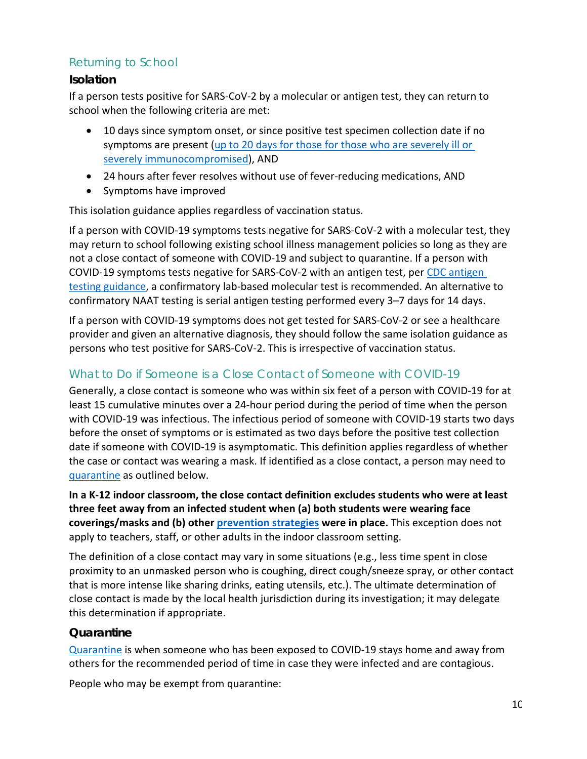### Returning to School

#### <span id="page-9-1"></span>**Isolation**

If a person tests positive for SARS-CoV-2 by a molecular or antigen test, they can return to school when the following criteria are met:

- 10 days since symptom onset, or since positive test specimen collection date if no symptoms are present [\(up to 20 days for those for those who](https://www.cdc.gov/coronavirus/2019-ncov/hcp/disposition-hospitalized-patients.html) are severely ill or [severely immunocompromised\)](https://www.cdc.gov/coronavirus/2019-ncov/hcp/disposition-hospitalized-patients.html), AND
- 24 hours after fever resolves without use of fever-reducing medications, AND
- Symptoms have improved

This isolation guidance applies regardless of vaccination status.

If a person with COVID-19 symptoms tests negative for SARS-CoV-2 with a molecular test, they may return to school following existing school illness management policies so long as they are not a close contact of someone with COVID-19 and subject to quarantine. If a person with COVID-19 symptoms tests negative for SARS-CoV-2 with an antigen test, per [CDC antigen](https://www.cdc.gov/coronavirus/2019-ncov/lab/resources/antigen-tests-guidelines.html)  [testing guidance,](https://www.cdc.gov/coronavirus/2019-ncov/lab/resources/antigen-tests-guidelines.html) a confirmatory lab-based molecular test is recommended. An alternative to confirmatory NAAT testing is serial antigen testing performed every 3–7 days for 14 days.

If a person with COVID-19 symptoms does not get tested for SARS-CoV-2 or see a healthcare provider and given an alternative diagnosis, they should follow the same isolation guidance as persons who test positive for SARS-CoV-2. This is irrespective of vaccination status.

### <span id="page-9-0"></span>What to Do if Someone is a Close Contact of Someone with COVID-19

Generally, a close contact is someone who was within six feet of a person with COVID-19 for at least 15 cumulative minutes over a 24-hour period during the period of time when the person with COVID-19 was infectious. The infectious period of someone with COVID-19 starts two days before the onset of symptoms or is estimated as two days before the positive test collection date if someone with COVID-19 is asymptomatic. This definition applies regardless of whether the case or contact was wearing a mask. If identified as a close contact, a person may need to [quarantine](#page-9-2) as outlined below.

**In a K-12 indoor classroom, the close contact definition excludes students who were at least three feet away from an infected student when (a) both students were wearing face coverings/masks and (b) other [prevention strategies](#page-1-0) were in place.** This exception does not apply to teachers, staff, or other adults in the indoor classroom setting.

The definition of a close contact may vary in some situations (e.g., less time spent in close proximity to an unmasked person who is coughing, direct cough/sneeze spray, or other contact that is more intense like sharing drinks, eating utensils, etc.). The ultimate determination of close contact is made by the local health jurisdiction during its investigation; it may delegate this determination if appropriate.

#### <span id="page-9-2"></span>**Quarantine**

[Quarantine](https://www.doh.wa.gov/Emergencies/COVID19/CaseInvestigationsandContactTracing/IsolationandQuarantineforCOVID19) is when someone who has been exposed to COVID-19 stays home and away from others for the recommended period of time in case they were infected and are contagious.

People who may be exempt from quarantine: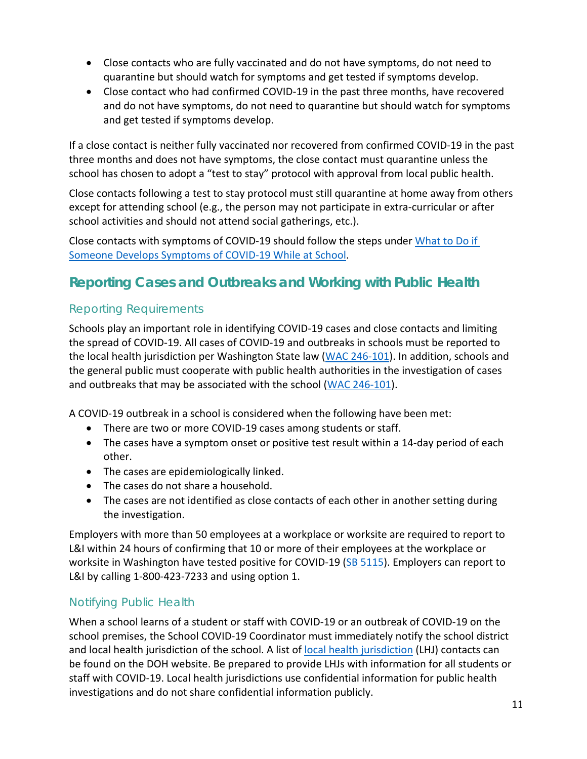- Close contacts who are fully vaccinated and do not have symptoms, do not need to quarantine but should watch for symptoms and get tested if symptoms develop.
- Close contact who had confirmed COVID-19 in the past three months, have recovered and do not have symptoms, do not need to quarantine but should watch for symptoms and get tested if symptoms develop.

If a close contact is neither fully vaccinated nor recovered from confirmed COVID-19 in the past three months and does not have symptoms, the close contact must quarantine unless the school has chosen to adopt a "test to stay" protocol with approval from local public health.

Close contacts following a test to stay protocol must still quarantine at home away from others except for attending school (e.g., the person may not participate in extra-curricular or after school activities and should not attend social gatherings, etc.).

Close contacts with symptoms of COVID-19 should follow the steps under [What to Do if](#page-8-0)  [Someone Develops Symptoms of COVID-19 While at School.](#page-8-0)

# <span id="page-10-0"></span>**Reporting Cases and Outbreaks and Working with Public Health**

### Reporting Requirements

Schools play an important role in identifying COVID-19 cases and close contacts and limiting the spread of COVID-19. All cases of COVID-19 and outbreaks in schools must be reported to the local health jurisdiction per Washington State law [\(WAC 246-101\)](https://app.leg.wa.gov/wac/default.aspx?cite=246-101). In addition, schools and the general public must cooperate with public health authorities in the investigation of cases and outbreaks that may be associated with the school [\(WAC 246-101\)](https://app.leg.wa.gov/wac/default.aspx?cite=246-101).

A COVID-19 outbreak in a school is considered when the following have been met:

- There are two or more COVID-19 cases among students or staff.
- The cases have a symptom onset or positive test result within a 14-day period of each other.
- The cases are epidemiologically linked.
- The cases do not share a household.
- The cases are not identified as close contacts of each other in another setting during the investigation.

Employers with more than 50 employees at a workplace or worksite are required to report to L&I within 24 hours of confirming that 10 or more of their employees at the workplace or worksite in Washington have tested positive for COVID-19 [\(SB 5115\)](https://app.leg.wa.gov/billsummary?billnumber=5115&year=2021). Employers can report to L&I by calling 1-800-423-7233 and using option 1.

### Notifying Public Health

When a school learns of a student or staff with COVID-19 or an outbreak of COVID-19 on the school premises, the School COVID-19 Coordinator must immediately notify the school district and local health jurisdiction of the school. A list of [local health jurisdiction](https://www.doh.wa.gov/AboutUs/PublicHealthSystem/LocalHealthJurisdictions) (LHJ) contacts can be found on the DOH website. Be prepared to provide LHJs with information for all students or staff with COVID-19. Local health jurisdictions use confidential information for public health investigations and do not share confidential information publicly.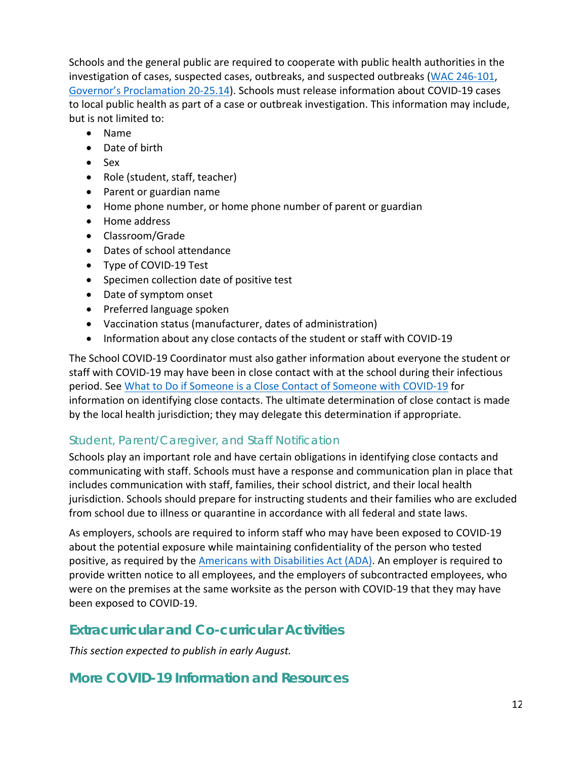Schools and the general public are required to cooperate with public health authorities in the investigation of cases, suspected cases, outbreaks, and suspected outbreaks [\(WAC 246-101,](https://apps.leg.wa.gov/WAC/default.aspx?cite=246-101) [Governor's Proclamation 20-25.14\)](https://www.governor.wa.gov/sites/default/files/proclamations/proc_20-25.14.pdf). Schools must release information about COVID-19 cases to local public health as part of a case or outbreak investigation. This information may include, but is not limited to:

- Name
- Date of birth
- Sex
- Role (student, staff, teacher)
- Parent or guardian name
- Home phone number, or home phone number of parent or guardian
- Home address
- Classroom/Grade
- Dates of school attendance
- Type of COVID-19 Test
- Specimen collection date of positive test
- Date of symptom onset
- Preferred language spoken
- Vaccination status (manufacturer, dates of administration)
- Information about any close contacts of the student or staff with COVID-19

The School COVID-19 Coordinator must also gather information about everyone the student or staff with COVID-19 may have been in close contact with at the school during their infectious period. See [What to Do if Someone is a Close Contact of Someone with COVID-19](#page-9-0) for information on identifying close contacts. The ultimate determination of close contact is made by the local health jurisdiction; they may delegate this determination if appropriate.

#### Student, Parent/Caregiver, and Staff Notification

Schools play an important role and have certain obligations in identifying close contacts and communicating with staff. Schools must have a response and communication plan in place that includes communication with staff, families, their school district, and their local health jurisdiction. Schools should prepare for instructing students and their families who are excluded from school due to illness or quarantine in accordance with all federal and state laws.

As employers, schools are required to inform staff who may have been exposed to COVID-19 about the potential exposure while maintaining confidentiality of the person who tested positive, as required by the [Americans with Disabilities Act \(ADA\).](https://www.eeoc.gov/laws/guidance/pandemic-preparedness-workplace-and-americans-disabilities-act) An employer is required to provide written notice to all employees, and the employers of subcontracted employees, who were on the premises at the same worksite as the person with COVID-19 that they may have been exposed to COVID-19.

### <span id="page-11-0"></span>**Extracurricular and Co-curricular Activities**

<span id="page-11-1"></span>*This section expected to publish in early August.*

### **More COVID-19 Information and Resources**